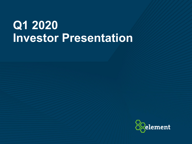# **Q1 2020 Investor Presentation**

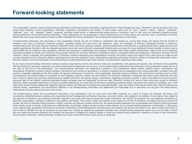This presentation contains certain forward-looking statements and forward-looking information regarding Element Fleet Management Corp. ("Element") and its business which are based upon Element's current expectations, estimates, projections, assumptions and beliefs. In some cases, words such as "plan", "expect", "intend", "believe", "anticipate", "estimate", "may", "will", "potential", "target", "proposed" and other similar words, or statements that certain events or conditions "may" or "will" occur are intended to identify forwardlooking statements and forward-looking information. These statements are not guarantees of future performance and involve known and unknown risks, uncertainties and other factors that may cause actual results or events to differ materially from those anticipated in the forward-looking statements or information.

Forward-looking statements and information in this presentation include, but are not limited to, statements with respect to, among other things, the impact that the COVID-19 pandemic may have on Element's financial condition, operating results and cash flows; the objectives, vision and strategies of Element; anticipated benefits of Element's transformation plan; the future financial reporting of Element; future cash flows, financial condition, operating performance, financial ratios, projected asset base, capital structure and capital expenditures; Element's after-tax adjusted operating income per share; Element's anticipated dividend policy and plans for future dividends; Element's ability to deliver returns and benefits from its initiatives; client acquisition, retention and experience; relationships with suppliers; anticipated cash needs, capital requirements, need for and cost of additional financing and ability to access such financing; future assets; demand for services; Element's competitive position; anticipated trends and challenges in Element's business and the markets in which it operates; the implementation of Element's systems integrations and organizational revisions; the extent, nature and impact of any value driver to create pre-tax run-rate operating income; Element's ability to generate pre-tax run-rate operating income; expectations regarding syndication; Element's ability to increase total shareholder return; Element's ability to pre-fund redemption of its outstanding convertible debentures upon their maturity; and expectations regarding credit ratings.

By its nature, forward-looking information involves numerous assumptions, known and unknown risks and uncertainties, both general and specific, that contribute to the possibility that the predictions, forecasts, projections and other forward-looking statements will not occur. Such forward-looking statements and information in this presentation speak only as of the date on the front of this presentation. The forward-looking information and statements contained in this presentation reflect several material factors, expectations and assumptions of Element including, without limitation: that Element will conduct its operations in a manner consistent with its expectations and, where applicable, consistent with past practice; acceptable negotiations with third parties; the general continuance of current or, where applicable, assumed industry conditions; the continuance of existing (and in certain circumstances, the implementation of proposed) tax and regulatory regimes; certain cost assumptions; the continued availability of adequate debt and/or equity financing and cash flow to fund its capital and operating requirements as needed; Element's net interest margin; expectations regarding syndication; growth in lease receivables and service income; assumed rate of cost inflation; assumed applicable foreign exchange rates and applicable income tax rates; Element's funding mix; terms of new instruments issued to refinance Element's 2020 convertible debentures and 2024 convertible debentures; the reset rates for Element's outstanding preferred shares; the extent of its assets and liabilities; and, in the case of the forward-looking statements regarding financial outlook, that Element will achieve the expected benefits, costs and timing of the transformation plan. Element believes the material factors, expectations and assumptions reflected in the forward-looking information and statements are reasonable but no assurance can be given that these factors, expectations and assumptions will prove to be correct.

The forward-looking events and circumstances discussed in this presentation may not occur and could differ materially as a result of known and unknown risk factors and uncertainties affecting Element, including risks regarding the fleet management and finance industries, economic factors, risks related to the addition of new clients, risks related to the payment of dividends, risks relating to business integration and many other factors beyond the control of Element. The COVID-19 pandemic has cast additional uncertainty on Element's expectations, estimates, projections, assumptions and beliefs. The duration, extent and severity of the impact the COVID-19 pandemic, including measures to prevent its spread, will have on Element Fleet's business is highly uncertain and difficult to predict at this time. No forward-looking statement can be quaranteed and Element cannot quarantee future results, levels of activity, performance or achievements. Accordingly, readers should not place undue reliance on any forward-looking statements or information. A discussion of the material risks applicable to Element can be found in Element's current Management and Discussion and Analysis and Annual Information Form, each of which have been or will be filed on SEDAR and can be accessed at www.sedar.com. Except as required by applicable securities laws, forward-looking statements speak only as of the date on which they are made and Element disclaims any intention and assumes no obligation to publicly update or revise any forward-looking statement, whether as a result of new information, future events or otherwise.-looking statement, whether as a result of new information, future events, or otherwise.

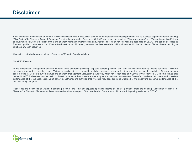An investment in the securities of Element involves significant risks. A discussion of some of the material risks affecting Element and its business appears under the heading "Risk Factors" in Element's Annual Information Form for the year ended December 31, 2019, and under the headings "Risk Management" and "Critical Accounting Policies and Estimates" in Element's current annual and quarterly Management Discussion and Analysis, all of which have or will have been filed on SEDAR and can be accessed at Element's profile on www.sedar.com. Prospective investors should carefully consider the risks associated with an investment in the securities of Element before deciding to purchase any such securities.

Unless the context otherwise requires, references to "\$" are to Canadian dollars.

Non-IFRS Measures

In this presentation, management uses a number of terms and ratios (including "adjusted operating income" and "after-tax adjusted operating income per share") which do not have a standardized meaning under IFRS and are unlikely to be comparable to similar measures presented by other organizations. A full description of these measures can be found in Element's current annual and quarterly Management Discussion & Analysis, which have been filed on SEDAR (www.sedar.com). Element believes that certain Non-IFRS Measures can be useful to investors because they provide a means by which investors can evaluate Element's underlying key drivers and operating performance of the business, exclusive of certain adjustments and activities that investors may consider to be unrelated to the underlying economic performance of the business of a given period.

Please see the definitions of "Adjusted operating income" and "After-tax adjusted operating income per share" provided under the heading "Description of Non-IFRS Measures" in Element's Management Discussion and Analysis in respect of the period ended December 31, 2019, which is publicly available on SEDAR.

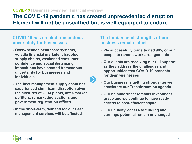### **The COVID-19 pandemic has created unprecedented disruption; Element will not be unscathed but is well-equipped to endure**

### **COVID-19 has created tremendous uncertainty for businesses…**

- **Overwhelmed healthcare systems, volatile financial markets, disrupted supply chains, weakened consumer confidence and social distancing impositions have created tremendous uncertainty for businesses and individuals**
- **The fleet management supply chain has experienced significant disruption given the closures of OEM plants, after-market upfitters, remarketing auctions and government registration offices**
- **In the short-term, demand for our fleet management services will be affected**

### **The fundamental strengths of our business remain intact…**

- **We successfully transitioned 98% of our people to remote work arrangements**
- **Our clients are receiving our full support as they address the challenges and opportunities that COVID-19 presents for their businesses**
- **Our business is getting stronger as we accelerate our Transformation agenda**
- **Our balance sheet remains investment grade and we continue to have ready access to cost-efficient capital**
- **Our liquidity, access to funding and earnings potential remain unchanged**

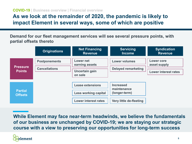#### **COVID-19 | Business overview | Financial overview**

### **As we look at the remainder of 2020, the pandemic is likely to impact Element in several ways, some of which are positive**

**Demand for our fleet management services will see several pressure points, with partial offsets thereto**

|                                  | <b>Originations</b>                               | <b>Net Financing</b><br><b>Revenue</b> | <b>Servicing</b><br><b>Income</b> | <b>Syndication</b><br><b>Revenue</b> |
|----------------------------------|---------------------------------------------------|----------------------------------------|-----------------------------------|--------------------------------------|
|                                  | <b>Postponements</b>                              | <b>Lower net</b><br>earning assets     | <b>Lower volumes</b>              | Lower core<br>asset supply           |
| <b>Pressure</b><br><b>Points</b> | <b>Cancellations</b><br>Uncertain gain<br>on sale |                                        | <b>Delayed remarketing</b>        | <b>Lower interest rates</b>          |
|                                  |                                                   | <b>Lease extensions</b>                | <b>Increased</b><br>maintenance   |                                      |
| <b>Partial</b><br><b>Offsets</b> | <b>Less working capital</b>                       |                                        | (longer-term)                     |                                      |
|                                  |                                                   | <b>Lower interest rates</b>            | Very little de-fleeting           |                                      |

**While Element may face near-term headwinds, we believe the fundamentals of our business are unchanged by COVID-19; we are staying our strategic course with a view to preserving our opportunities for long-term success**

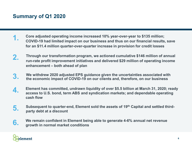## **Summary of Q1 2020**

- **Core adjusted operating income increased 10% year-over-year to \$135 million; COVID-19 had limited impact on our business and thus on our financial results, save for an \$11.4 million quarter-over-quarter increase in provision for credit losses 1.**
- **Through our transformation program, we actioned cumulative \$146 million of annual run-rate profit improvement initiatives and delivered \$29 million of operating income enhancement – both ahead of plan 2.**
- **We withdrew 2020 adjusted EPS guidance given the uncertainties associated with 3. the economic impact of COVID-19 on our clients and, therefore, on our business**
- **4. Element has committed, undrawn liquidity of over \$5.5 billion at March 31, 2020; ready access to U.S. bond, term ABS and syndication markets; and dependable operating cash flow**
- **5. Subsequent to quarter-end, Element sold the assets of 19th Capital and settled thirdparty debt at a discount**
- **6.** We remain confident in Element being able to generate 4-6% annual net revenue<br> **6.** Arouth in normal market conditions **growth in normal market conditions**

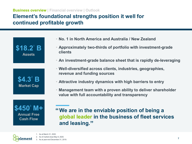#### **Business overview | Financial overview | Outlook**

### **Element's foundational strengths position it well for continued profitable growth**



- **No. 1 in North America and Australia / New Zealand**
- **Approximately two-thirds of portfolio with investment-grade clients**
- **An investment-grade balance sheet that is rapidly de-leveraging**
- **Well-diversified across clients, industries, geographies, revenue and funding sources**
- **Attractive industry dynamics with high barriers to entry**
- **Management team with a proven ability to deliver shareholder value with full accountability and transparency**

**\$450**<sup>3</sup> **M+ Annual Free Cash Flow**

**We are in the enviable position of being a " global leader in the business of fleet services and leasing. "**



- 2. As of market close May 8, 2020.
- 3. As at year-end December 31, 2019.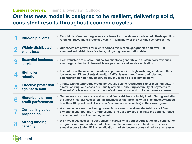### **Business overview | Financial overview | Outlook**

### **Our business model is designed to be resilient, delivering solid, consistent results throughout economic cycles**

| <b>Widely distributed</b><br>Our assets are at work for clients across five sizable geographies and over 700<br>standard industrial classifications, mitigating concentration risks.<br>client base<br><b>Essential business</b><br>Fleet vehicles are mission-critical for clients to generate and sustain daily revenues,<br>ensuring continuity of demand, lease payments and service utilization.<br><b>services</b><br>• The nature of the asset and relationship translate into high switching costs and thus<br><b>High client</b><br>low turnover. When clients do switch FMCs, leases run-off over their planned<br>retention<br>amortization period (though service revenues can be lost immediately).<br>Clients with deteriorating credit are usually able to restructure rather than liquidate. In<br><b>Effective protection</b><br>a restructuring, our leases are usually affirmed, ensuring continuity of payments to<br>against default<br>Element. Our leases contain cross-default provisions, and no force majeure clauses.<br>Our leases are cross-collateralized and fleet vehicles are highly liquid. During and after<br><b>Historically strong</b><br>6<br>the Great Financial Recession, the businesses that now make up Element experienced<br>credit performance<br>less than 10 bps of credit loss (as a % of finance receivables) in their worst years.<br>We use our scale - purchasing power & data - to drive down the total cost of fleet<br><b>Compelling value</b><br>ownership and operation for our clients, and our services eliminate the administrative<br>proposition<br>burden of in-house fleet management.<br>We have ready access to cost-efficient capital, with both securitization and syndication<br><b>Strong funding</b><br>programs, and we maintain multiple committed alternatives to fund the business<br>capacity<br>should access to the ABS or syndication markets become constrained for any reason. | <b>Blue-chip clients</b> | • Two-thirds of our earning assets are leased to investment-grade rated clients (publicly<br>rated, or "investment-grade equivalent"), with many of the Fortune 500 represented. |
|-------------------------------------------------------------------------------------------------------------------------------------------------------------------------------------------------------------------------------------------------------------------------------------------------------------------------------------------------------------------------------------------------------------------------------------------------------------------------------------------------------------------------------------------------------------------------------------------------------------------------------------------------------------------------------------------------------------------------------------------------------------------------------------------------------------------------------------------------------------------------------------------------------------------------------------------------------------------------------------------------------------------------------------------------------------------------------------------------------------------------------------------------------------------------------------------------------------------------------------------------------------------------------------------------------------------------------------------------------------------------------------------------------------------------------------------------------------------------------------------------------------------------------------------------------------------------------------------------------------------------------------------------------------------------------------------------------------------------------------------------------------------------------------------------------------------------------------------------------------------------------------------------------------------------------------------------------------------|--------------------------|----------------------------------------------------------------------------------------------------------------------------------------------------------------------------------|
|                                                                                                                                                                                                                                                                                                                                                                                                                                                                                                                                                                                                                                                                                                                                                                                                                                                                                                                                                                                                                                                                                                                                                                                                                                                                                                                                                                                                                                                                                                                                                                                                                                                                                                                                                                                                                                                                                                                                                                   |                          |                                                                                                                                                                                  |
|                                                                                                                                                                                                                                                                                                                                                                                                                                                                                                                                                                                                                                                                                                                                                                                                                                                                                                                                                                                                                                                                                                                                                                                                                                                                                                                                                                                                                                                                                                                                                                                                                                                                                                                                                                                                                                                                                                                                                                   |                          |                                                                                                                                                                                  |
|                                                                                                                                                                                                                                                                                                                                                                                                                                                                                                                                                                                                                                                                                                                                                                                                                                                                                                                                                                                                                                                                                                                                                                                                                                                                                                                                                                                                                                                                                                                                                                                                                                                                                                                                                                                                                                                                                                                                                                   |                          |                                                                                                                                                                                  |
|                                                                                                                                                                                                                                                                                                                                                                                                                                                                                                                                                                                                                                                                                                                                                                                                                                                                                                                                                                                                                                                                                                                                                                                                                                                                                                                                                                                                                                                                                                                                                                                                                                                                                                                                                                                                                                                                                                                                                                   |                          |                                                                                                                                                                                  |
|                                                                                                                                                                                                                                                                                                                                                                                                                                                                                                                                                                                                                                                                                                                                                                                                                                                                                                                                                                                                                                                                                                                                                                                                                                                                                                                                                                                                                                                                                                                                                                                                                                                                                                                                                                                                                                                                                                                                                                   |                          |                                                                                                                                                                                  |
|                                                                                                                                                                                                                                                                                                                                                                                                                                                                                                                                                                                                                                                                                                                                                                                                                                                                                                                                                                                                                                                                                                                                                                                                                                                                                                                                                                                                                                                                                                                                                                                                                                                                                                                                                                                                                                                                                                                                                                   |                          |                                                                                                                                                                                  |
|                                                                                                                                                                                                                                                                                                                                                                                                                                                                                                                                                                                                                                                                                                                                                                                                                                                                                                                                                                                                                                                                                                                                                                                                                                                                                                                                                                                                                                                                                                                                                                                                                                                                                                                                                                                                                                                                                                                                                                   |                          |                                                                                                                                                                                  |

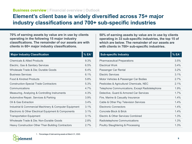### **Element's client base is widely diversified across 75+ major industry classifications and 700+ sub-specific industries**

**70% of earning assets by value are in use by clients operating in the following 15 major industry classifications. The remainder of our assets are with clients in 60+ major industry classifications.**

| <b>Major Industry Classification</b>                   | %EA <sup>1</sup> |
|--------------------------------------------------------|------------------|
| <b>Chemicals &amp; Allied Products</b>                 | 9.3%             |
| Electric, Gas & Sanitary Services                      | 6.5%             |
| Wholesale Trade & Die; Durable Goods                   | 6.4%             |
| <b>Business Services</b>                               | 6.1%             |
| Food & Kindred Products                                | 5.8%             |
| <b>Construction-Special Trade Contractors</b>          | 5.3%             |
| Communications                                         | 4.7%             |
| Measuring, Analyzing & Controlling Instruments         | 4.3%             |
| Automotive Repair, Services & Parking                  | 3.9%             |
| Oil & Gas Extraction                                   | 3.4%             |
| Industrial & Commercial Machinery & Computer Equipment | 3.1%             |
| Electronic & Other Electrical Equipment & Components   | 3.1%             |
| <b>Transportation Equipment</b>                        | 3.1%             |
| Wholesale Trade & Die; Non-Durable Goods               | 2.8%             |
| Heavy Construction Other Than Building Contractors     | 2.7%             |

**50% of earning assets by value are in use by clients operating in 33 sub-specific industries, the top 15 of which are below. The remainder of our assets are with clients in 700+ sub-specific industries.**

| <b>Sub-specific Industry</b>                    | %EA <sup>1</sup> |
|-------------------------------------------------|------------------|
| <b>Pharmaceutical Preparations</b>              | 3.5%             |
| <b>Electrical Work</b>                          | 3.4%             |
| Passenger Car Rental                            | 3.2%             |
| <b>Flectric Services</b>                        | 3.1%             |
| Motor Vehicles & Passenger Car Bodies           | $2.7\%$          |
| Pesticides & Agricultural Chemicals, NEC        | 2.1%             |
| Telephone Communications, Except Radiotelephone | 1.9%             |
| Detective, Guard & Armored Car Services         | 1.7%             |
| Fire, Marine & Casualty Insurance               | 14%              |
| Cable & Other Pay Television Services           | 1.4%             |
| <b>Electronic Connectors</b>                    | 1.4%             |
| Concrete Block & Brick                          | 14%              |
| Electric & Other Services Combined              | 1.3%             |
| Radiotelephone Communications                   | 1.3%             |
| Poultry Slaughtering & Processing               | 1.3%             |

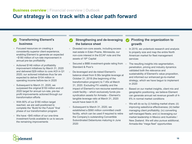### **Our strategy is on track with a clear path forward**

#### **Transforming Element's business**

- Focused resources on creating a consistently superior client experience, enabling Element to generate an expected ~\$180 million of run-rate improvement in annual pre-tax profitability
- Actioned \$146 million of profitability improvement initiatives by March 31, 2020 and delivered \$29 million to core AOI in Q1 2020; our actioned initiatives thus far are expected to deliver \$104 million in operating income before-tax in 2020
- Subsequent to March 31, 2020, we surpassed the original \$150 million end-of-2020 target for annual run-rate, pre-tax profit improvements actioned through our transformation efforts
- With 80% of our \$180 million target reached, we are well-positioned to complete the "Build for the Future" final phase of our transformation program
- We have ~\$45 million of our one-time investment funds available to us to secure the remaining improvements

#### **Strengthening and de-leveraging the balance sheet**

- Divested non-core assets, including excess real estate in Eden Prairie, Minnesota, our non-core interest in the ECAF note and the assets of 19th Capital
- Secured a BBB investment-grade rating from Standard & Poor's
- De-leveraged and de-risked Element's balance sheet from 9.56x tangible leverage at October 31, 2018 (the beginning of the transformation program) to 7.45x at March 31, 2020. Excluding FX volatility and the impact of Element's non-recourse warehouse credit facility – which exclusively funds presyndication assets for Armada – Element's tangible leverage ratio at March 31, 2020 would have been 6.35
- Subsequent to March 31, 2020, we established a \$560 million committed credit facility, which can be used if required to retire the Company's outstanding Convertible Subordinated Debentures maturing in June 2020

#### **Pivoting the organization to growth**

- In 2019, we undertook research and analysis to properly size and map the entire North American market for fleet management services
- The resulting insights into segmentation, penetration, pricing and industry dynamics validated both the relevance and sustainability of Element's value proposition, and informed our enhanced go-to-market strategy, which we have begun to implement in 2020
- Based on our market insights, client mix and geographic positioning, we believe Element can generate annual net revenue growth of 4- 6% in normal market conditions
- We will do so by (i) holding market share; (ii) improving salesforce effectiveness; (iii) better managing client profitability; (iv) converting self-managed fleets; and (v) leveraging our market leadership in Mexico and Australia / New Zealand. We will also pursue additional, Armada-like "mega fleet" opportunities

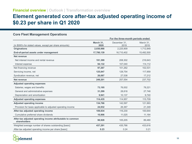#### **Financial overview | Outlook | Transformation overview**

### **Element generated core after-tax adjusted operating income of \$0.23 per share in Q1 2020**

#### **Core Fleet Management Operations**

|                                                                            |                   | For the three-month periods ended |                   |
|----------------------------------------------------------------------------|-------------------|-----------------------------------|-------------------|
| (in \$000's for stated values, except per share amounts)                   | March 31,<br>2020 | December 31.<br>2019              | March 31,<br>2019 |
| <b>Originations</b>                                                        | 2,030,988         | 2,225,909                         | 1,712,849         |
| End-of-period assets under management                                      | 17,780,139        | 16,710,402                        | 15,492,500        |
| Net revenue                                                                |                   |                                   |                   |
| Net interest income and rental revenue                                     | 191,399           | 208,302                           | 216,643           |
| Interest expense                                                           | 94,132            | 107,040                           | 114,112           |
| Net financing revenue                                                      | 97,267            | 101,262                           | 102,531           |
| Servicing income, net                                                      | 125,847           | 128,754                           | 117,959           |
| Syndication revenue, net                                                   | 26,087            | 27,538                            | 17,212            |
| Net revenue                                                                | 249,201           | 257,554                           | 237,702           |
| <b>Adjusted operating expenses</b>                                         |                   |                                   |                   |
| Salaries, wages and benefits                                               | 73,195            | 76,002                            | 78,221            |
| General and administrative expenses                                        | 31,299            | 28,818                            | 27,748            |
| Depreciation and amortization                                              | 9,941             | 10,137                            | 9,740             |
| <b>Adjusted operating expenses</b>                                         | 114,435           | 114,957                           | 115,709           |
| <b>Adjusted operating income</b>                                           | 134,766           | 142,597                           | 121,993           |
| Provision for taxes applicable to adjusted operating income                | 24,932            | 26,367                            | 21,349            |
| After-tax adjusted operating income                                        | 109,834           | 116,230                           | 100,644           |
| Cumulative preferred share dividends                                       | 10,906            | 11,025                            | 11,164            |
| After-tax adjusted operating income attributable to common<br>shareholders | 98,928            | 105,205                           | 89,480            |
| Weighted average number of shares outstanding [basic]                      | 437,291           | 435,766                           | 433,616           |
| After-tax adjusted operating income per share [basic]                      | 0.23              | 0.24                              | 0.21              |

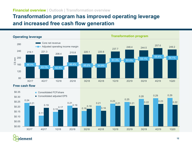#### **Financial overview | Outlook | Transformation overview**

### **Transformation program has improved operating leverage and increased free cash flow generation**





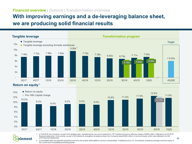#### **Financial overview | Outlook | Transformation overview**

## **With improving earnings and a de-leveraging balance sheet, we are producing solid financial results**



element

1. In Fall 2018, the Company, as part of its strategic plan, repositioned its non-core investment in 19<sup>th</sup> Capital and took an after-tax charge of \$360 million, reflected in its Q3 2018 financial statements. Concurrently, as part of its initiative to strengthen its balance sheet, the Company raised \$345 million of common equity, which was reflected in its Q4 2018 financial statements.

2. Consolidated after-tax adjusted operating income for the quarter attributable to common shareholders, multiplied by four (i.e. annualized), divided by average common equity of the current and immediately preceding quarter.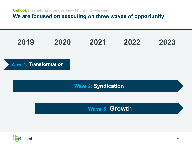**We are focused on executing on three waves of opportunity**



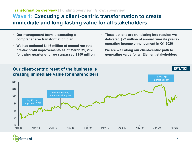#### **Transformation overview | Funding overview | Growth overview**

### **Wave 1: Executing a client-centric transformation to create immediate and long-lasting value for all stakeholders**

- **Our management team is executing a comprehensive transformation plan**
- **We had actioned \$146 million of annual run-rate pre-tax profit improvements as of March 31, 2020; following quarter-end, we surpassed \$150 million**
- **These actions are translating into results: we delivered \$29 million of annual run-rate pre-tax operating income enhancement in Q1 2020**
- **We are well along our client-centric path to generating value for all Element stakeholders**



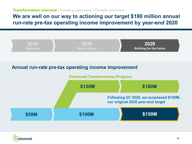**Transformation overview | Funding overview | Growth overview**

### **We are well on our way to actioning our target \$180 million annual run-rate pre-tax operating income improvement by year-end 2020**



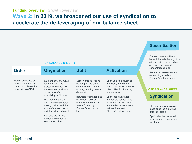### **Wave 2: In 2019, we broadened our use of syndication to accelerate the de-leveraging of our balance sheet**

#### **ON BALANCE SHEET →**

**Order Origination** Upfit **Activation** 

Element receives an order from one of our clients and places the order with an OEM.

Element pays the OEM for the order. This typically coincides with the vehicle's production or the vehicle's availability to Element.

With payment to the OEM, Element records an origination, and the value of the vehicle as an interim funded asset.

Vehicles are initially funded by Element's senior credit line.

Some vehicles require upfitting for the client: customization such as racking, running boards, decals etc.

Between origination and activation, vehicles remain interim funded assets funded by Element's senior credit line.

Upon vehicle delivery to the client, the related lease is activated and the client billed for financing and services.

Upon lease activation, the vehicle ceases to be an interim funded asset and the lease becomes a net earning asset on Element's balance sheet.

#### **Securitization**

Element can securitize a lease if it meets the eligibility criteria, is in good standing and does not exceed concentration limits.

Securitized leases remain net earning assets on Element's balance sheet.

#### **OFF BALANCE SHEET**

#### **Syndication**

Element can syndicate a lease once the client has paid their first bill.

Syndicated leases remain assets under management by Element.

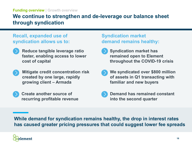### **We continue to strengthen and de-leverage our balance sheet through syndication**

### **Recall, expanded use of syndication allows us to:**

- 
- **Reduce tangible leverage ratio faster, enabling access to lower cost of capital**
- **Mitigate credit concentration risk created by one large, rapidly growing client – Armada**
	- **Create another source of recurring profitable revenue**

### **Syndication market demand remains healthy:**

- - **Syndication market has remained open to Element throughout the COVID-19 crisis**
- 
- **We syndicated over \$800 million of assets in Q1 transacting with familiar and new buyers**



**While demand for syndication remains healthy, the drop in interest rates has caused greater pricing pressures that could suggest lower fee spreads**

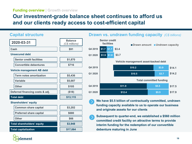### **Our investment-grade balance sheet continues to afford us and our clients ready access to cost-efficient capital**

#### **Capital structure**

| 2020-03-31                        | <b>Balance</b><br>(C\$ millions) |
|-----------------------------------|----------------------------------|
| Cash                              | \$91                             |
| <b>Unsecured debt</b>             |                                  |
| <b>Senior credit facilities</b>   | \$1,870                          |
| <b>Convertible debentures</b>     | \$716                            |
| <b>Vehicle management AB debt</b> |                                  |
| <b>Term notes amortization</b>    | \$5,436                          |
| Variable                          | \$5,007                          |
| <b>Other</b>                      | \$105                            |
| Deferred financing costs & adj.   | (\$18)                           |
| <b>Total debt</b>                 | \$13,115                         |
| <b>Shareholders' equity</b>       |                                  |
| <b>Common share capital</b>       | \$3,202                          |
| <b>Preferred share capital</b>    | \$680                            |
| <b>Other</b>                      | \$66                             |
| <b>Total shareholders' equity</b> | \$3,948                          |
| <b>Total capitalization</b>       | \$17,064                         |

#### **Drawn vs. undrawn funding capacity** *(C\$ billions)*



**We have \$5.5 billion of contractually committed, undrawn funding capacity available to us to operate our business and originate assets for our clients**

**Subsequent to quarter-end, we established a \$560 million committed credit facility on attractive terms to provide interim funding for the redemption of our convertible debenture maturing in June**

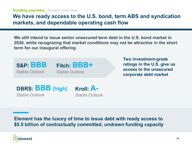### **We have ready access to the U.S. bond, term ABS and syndication markets, and dependable operating cash flow**

**We still intend to issue senior unsecured term debt in the U.S. bond market in 2020, while recognizing that market conditions may not be attractive in the short term for our inaugural offering**



**Two investment-grade ratings in the U.S. give us access to the unsecured corporate debt market**

**DBRS: BBB (high)** Stable Outlook

**Kroll: A-** Stable Outlook

**Element has the luxury of time to issue debt with ready access to \$5.5 billion of contractually committed, undrawn funding capacity**

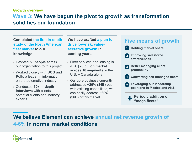#### **Growth overview**

### **Wave 3: We have begun the pivot to growth as transformation solidifies our foundation**

**Completed the first in-depth study of the North American fleet market to our knowledge**

- Devoted **50 people** across our organization to this project
- Worked closely with **BCG** and **Polk,** a leader in information on the automotive industry
- Conducted **50+ in-depth interviews** with clients, potential clients and industry experts

**We have crafted a plan to drive low-risk, valueaccretive growth in coming years**

- Fleet services and leasing is a **~C\$20 billion market across 16 segments** in the U.S. + Canada alone
- Our core business currently addresses **~20% (\$4B)** but, with existing capabilities, we can easily address **~30% (\$6B)** of this market



**Holding market share 1**

- **Improving salesforce effectiveness 2**
- **Better managing client profitability 3**
- **Converting self-managed fleets 4**
- **Leveraging our leadership positions in Mexico and ANZ 5**

**Periodic addition of "mega fleets"**

## **We believe Element can achieve annual net revenue growth of 4-6% in normal market conditions**